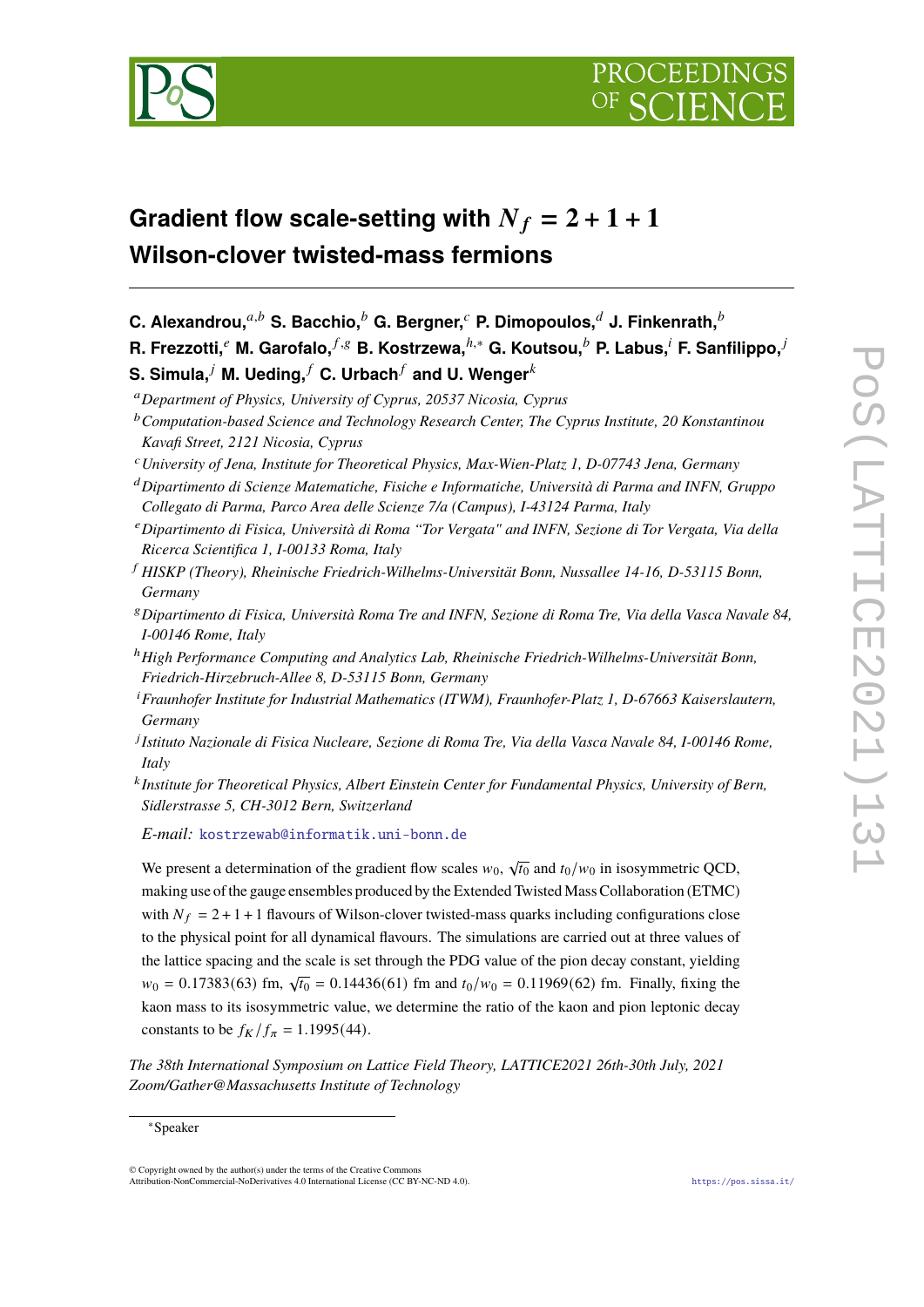

# **Gradient flow scale-setting with**  $N_f = 2 + 1 + 1$ **Wilson-clover twisted-mass fermions**

**C.** Alexandrou,<sup>*a,b*</sup> S. Bacchio,<sup>*b*</sup> G. Bergner,<sup>*c*</sup> P. Dimopoulos,<sup>*d*</sup> J. Finkenrath,<sup>*b*</sup>

**R. Frezzotti,**<sup>*e*</sup> M. Garofalo,  $f, g$  B. Kostrzewa,  $h, *$  G. Koutsou,  $h$  P. Labus,  $i$  F. Sanfilippo,  $i$ 

**S. Simula,<sup>** $j$ **</sup> M. Ueding,** $f$  **C. Urbach** $f$  **and U. Wenger** ${}^k$ 

<sup>𝑎</sup>*Department of Physics, University of Cyprus, 20537 Nicosia, Cyprus*

- <sup>𝑐</sup>*University of Jena, Institute for Theoretical Physics, Max-Wien-Platz 1, D-07743 Jena, Germany*
- <sup>𝑑</sup>*Dipartimento di Scienze Matematiche, Fisiche e Informatiche, Università di Parma and INFN, Gruppo Collegato di Parma, Parco Area delle Scienze 7/a (Campus), I-43124 Parma, Italy*
- <sup>𝑒</sup>*Dipartimento di Fisica, Università di Roma "Tor Vergata" and INFN, Sezione di Tor Vergata, Via della Ricerca Scientifica 1, I-00133 Roma, Italy*
- <sup>𝑓</sup> *HISKP (Theory), Rheinische Friedrich-Wilhelms-Universität Bonn, Nussallee 14-16, D-53115 Bonn, Germany*
- <sup>𝑔</sup>*Dipartimento di Fisica, Università Roma Tre and INFN, Sezione di Roma Tre, Via della Vasca Navale 84, I-00146 Rome, Italy*
- <sup>ℎ</sup>*High Performance Computing and Analytics Lab, Rheinische Friedrich-Wilhelms-Universität Bonn, Friedrich-Hirzebruch-Allee 8, D-53115 Bonn, Germany*
- <sup>i</sup> Fraunhofer Institute for Industrial Mathematics (ITWM), Fraunhofer-Platz 1, D-67663 Kaiserslautern, *Germany*
- 𝑗 *Istituto Nazionale di Fisica Nucleare, Sezione di Roma Tre, Via della Vasca Navale 84, I-00146 Rome, Italy*
- 𝑘 *Institute for Theoretical Physics, Albert Einstein Center for Fundamental Physics, University of Bern, Sidlerstrasse 5, CH-3012 Bern, Switzerland*

*E-mail:* [kostrzewab@informatik.uni-bonn.de](mailto:kostrzewab@informatik.uni-bonn.de)

We present a determination of the gradient flow scales  $w_0$ ,  $\sqrt{t_0}$  and  $t_0/w_0$  in isosymmetric QCD, making use of the gauge ensembles produced by the Extended Twisted Mass Collaboration (ETMC) with  $N_f = 2 + 1 + 1$  flavours of Wilson-clover twisted-mass quarks including configurations close to the physical point for all dynamical flavours. The simulations are carried out at three values of the lattice spacing and the scale is set through the PDG value of the pion decay constant, yielding  $w_0 = 0.17383(63)$  fm,  $\sqrt{t_0} = 0.14436(61)$  fm and  $t_0/w_0 = 0.11969(62)$  fm. Finally, fixing the kaon mass to its isosymmetric value, we determine the ratio of the kaon and pion leptonic decay constants to be  $f_K / f_\pi = 1.1995(44)$ .

*The 38th International Symposium on Lattice Field Theory, LATTICE2021 26th-30th July, 2021 Zoom/Gather@Massachusetts Institute of Technology*

<sup>&</sup>lt;sup>b</sup> Computation-based Science and Technology Research Center, The Cyprus Institute, 20 Konstantinou *Kavafi Street, 2121 Nicosia, Cyprus*

<sup>∗</sup>Speaker

<sup>©</sup> Copyright owned by the author(s) under the terms of the Creative Commons Attribution-NonCommercial-NoDerivatives 4.0 International License (CC BY-NC-ND 4.0). <https://pos.sissa.it/>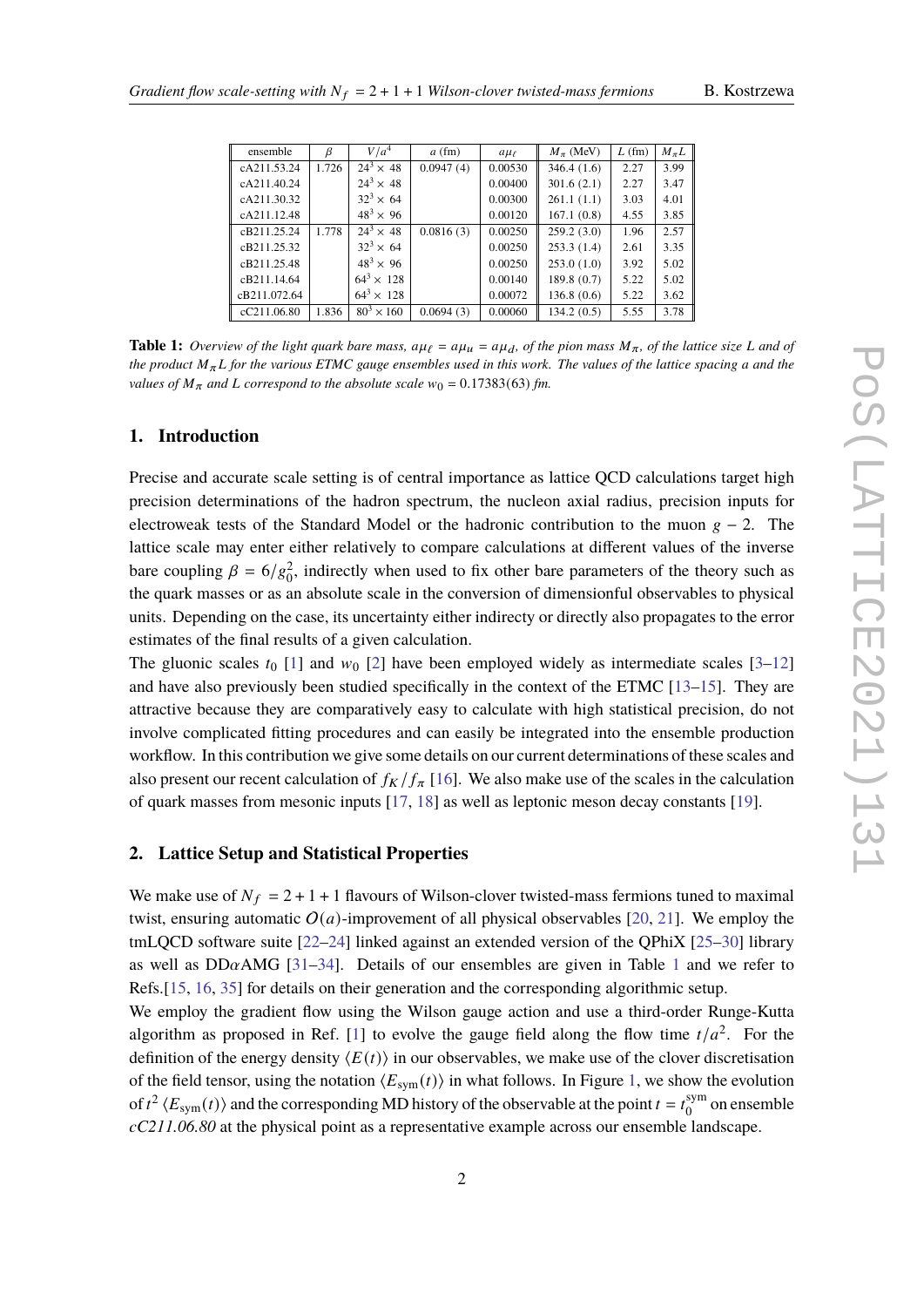|  |  | B. Kostrzewa |
|--|--|--------------|
|--|--|--------------|

<span id="page-1-0"></span>

| ensemble     | β     | V/a <sup>4</sup>    | $a$ (fm)  | $a\mu_{\ell}$ | $M_\pi$ (MeV) | $L$ (fm) | $M_{\pi}L$ |
|--------------|-------|---------------------|-----------|---------------|---------------|----------|------------|
| cA211.53.24  | 1.726 | $24^3 \times 48$    | 0.0947(4) | 0.00530       | 346.4(1.6)    | 2.27     | 3.99       |
| cA211.40.24  |       | $24^3 \times 48$    |           | 0.00400       | 301.6(2.1)    | 2.27     | 3.47       |
| cA211.30.32  |       | $32^3 \times 64$    |           | 0.00300       | 261.1(1.1)    | 3.03     | 4.01       |
| cA211.12.48  |       | $48^{3} \times 96$  |           | 0.00120       | 167.1(0.8)    | 4.55     | 3.85       |
| cB211.25.24  | 1.778 | $24^3 \times 48$    | 0.0816(3) | 0.00250       | 259.2(3.0)    | 1.96     | 2.57       |
| cB211.25.32  |       | $32^3 \times 64$    |           | 0.00250       | 253.3(1.4)    | 2.61     | 3.35       |
| cB211.25.48  |       | $48^3 \times 96$    |           | 0.00250       | 253.0(1.0)    | 3.92     | 5.02       |
| cB211.14.64  |       | $64^3 \times 128$   |           | 0.00140       | 189.8(0.7)    | 5.22     | 5.02       |
| cB211.072.64 |       | $64^3 \times 128$   |           | 0.00072       | 136.8(0.6)    | 5.22     | 3.62       |
| cC211.06.80  | 1.836 | $80^{3} \times 160$ | 0.0694(3) | 0.00060       | 134.2(0.5)    | 5.55     | 3.78       |

**Table 1:** Overview of the light quark bare mass,  $a\mu_{\ell} = a\mu_u = a\mu_d$ , of the pion mass  $M_{\pi}$ , of the lattice size L and of *the product*  $M_{\pi}L$  *for the various ETMC gauge ensembles used in this work. The values of the lattice spacing a and the values of*  $M_{\pi}$  *and L correspond to the absolute scale*  $w_0 = 0.17383(63)$  *fm.* 

# **1. Introduction**

Precise and accurate scale setting is of central importance as lattice QCD calculations target high precision determinations of the hadron spectrum, the nucleon axial radius, precision inputs for electroweak tests of the Standard Model or the hadronic contribution to the muon  $g - 2$ . The lattice scale may enter either relatively to compare calculations at different values of the inverse bare coupling  $\beta = 6/g_0^2$ , indirectly when used to fix other bare parameters of the theory such as the quark masses or as an absolute scale in the conversion of dimensionful observables to physical units. Depending on the case, its uncertainty either indirecty or directly also propagates to the error estimates of the final results of a given calculation.

The gluonic scales  $t_0$  [\[1\]](#page-8-0) and  $w_0$  [\[2\]](#page-8-1) have been employed widely as intermediate scales [\[3](#page-8-2)[–12\]](#page-8-3) and have also previously been studied specifically in the context of the ETMC [\[13](#page-8-4)[–15\]](#page-8-5). They are attractive because they are comparatively easy to calculate with high statistical precision, do not involve complicated fitting procedures and can easily be integrated into the ensemble production workflow. In this contribution we give some details on our current determinations of these scales and also present our recent calculation of  $f_K/f_{\pi}$  [\[16\]](#page-8-6). We also make use of the scales in the calculation of quark masses from mesonic inputs [\[17,](#page-8-7) [18\]](#page-8-8) as well as leptonic meson decay constants [\[19\]](#page-8-9).

### **2. Lattice Setup and Statistical Properties**

We make use of  $N_f = 2 + 1 + 1$  flavours of Wilson-clover twisted-mass fermions tuned to maximal twist, ensuring automatic  $O(a)$ -improvement of all physical observables [\[20,](#page-8-10) [21\]](#page-8-11). We employ the tmLQCD software suite [\[22–](#page-8-12)[24\]](#page-9-0) linked against an extended version of the QPhiX [\[25–](#page-9-1)[30\]](#page-9-2) library as well as DD $\alpha$ AMG [\[31–](#page-9-3)[34\]](#page-9-4). Details of our ensembles are given in Table [1](#page-1-0) and we refer to Refs.[\[15,](#page-8-5) [16,](#page-8-6) [35\]](#page-9-5) for details on their generation and the corresponding algorithmic setup.

We employ the gradient flow using the Wilson gauge action and use a third-order Runge-Kutta algorithm as proposed in Ref. [\[1\]](#page-8-0) to evolve the gauge field along the flow time  $t/a^2$ . For the definition of the energy density  $\langle E(t) \rangle$  in our observables, we make use of the clover discretisation of the field tensor, using the notation  $\langle E_{sym}(t) \rangle$  in what follows. In Figure [1,](#page-2-0) we show the evolution of  $t^2$   $\langle E_{sym}(t) \rangle$  and the corresponding MD history of the observable at the point  $t = t_0^{sym}$  $_0^{\text{sym}}$  on ensemble *cC211.06.80* at the physical point as a representative example across our ensemble landscape.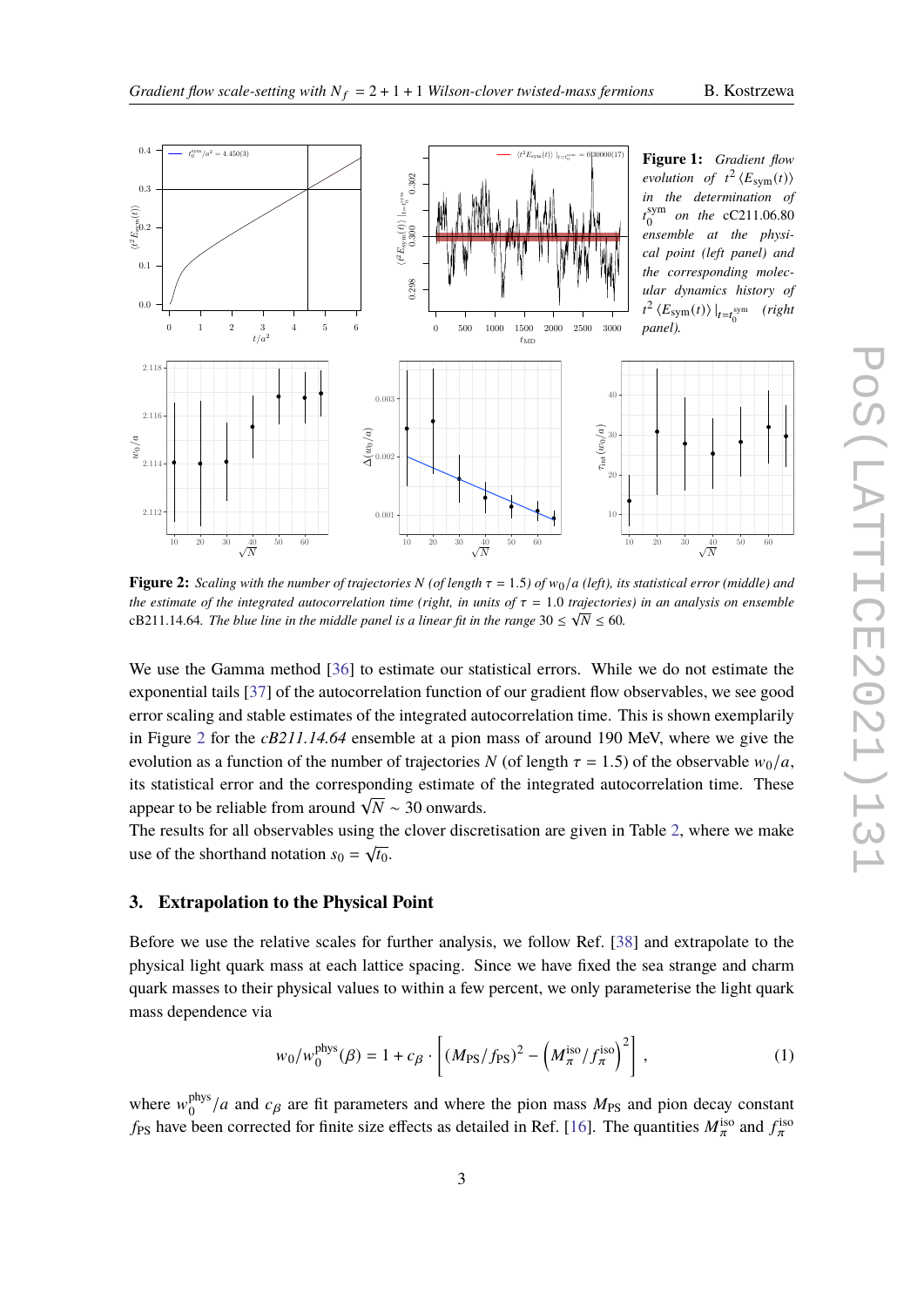

<span id="page-2-1"></span><span id="page-2-0"></span>

**Figure 2:** *Scaling with the number of trajectories* N (of length  $\tau = 1.5$ ) of  $w_0/a$  (left), its statistical error (middle) and *the estimate of the integrated autocorrelation time (right, in units of*  $\tau = 1.0$  *trajectories) in an analysis on ensemble* cB211.14.64. The blue line in the middle panel is a linear fit in the range  $30 \leq \sqrt{N} \leq 60$ .

We use the Gamma method [\[36\]](#page-9-6) to estimate our statistical errors. While we do not estimate the exponential tails [\[37\]](#page-9-7) of the autocorrelation function of our gradient flow observables, we see good error scaling and stable estimates of the integrated autocorrelation time. This is shown exemplarily in Figure [2](#page-2-1) for the *cB211.14.64* ensemble at a pion mass of around 190 MeV, where we give the evolution as a function of the number of trajectories N (of length  $\tau = 1.5$ ) of the observable  $w_0/a$ , its statistical error and the corresponding estimate of the integrated autocorrelation time. These appear to be reliable from around  $\sqrt{N} \sim 30$  onwards.

The results for all observables using the clover discretisation are given in Table [2,](#page-3-0) where we make use of the shorthand notation  $s_0 = \sqrt{t_0}$ .

## **3. Extrapolation to the Physical Point**

Before we use the relative scales for further analysis, we follow Ref. [\[38\]](#page-9-8) and extrapolate to the physical light quark mass at each lattice spacing. Since we have fixed the sea strange and charm quark masses to their physical values to within a few percent, we only parameterise the light quark mass dependence via

<span id="page-2-2"></span>
$$
w_0/w_0^{\text{phys}}(\beta) = 1 + c_\beta \cdot \left[ (M_{\text{PS}}/f_{\text{PS}})^2 - \left( M_{\pi}^{\text{iso}}/f_{\pi}^{\text{iso}} \right)^2 \right],\tag{1}
$$

where  $w_{\alpha}^{\text{phys}}$  $O_0^{\text{phys}}/a$  and  $c_\beta$  are fit parameters and where the pion mass  $M_{\text{PS}}$  and pion decay constant  $f_{PS}$  have been corrected for finite size effects as detailed in Ref. [\[16\]](#page-8-6). The quantities  $M_{\pi}^{iso}$  and  $f_{\pi}^{iso}$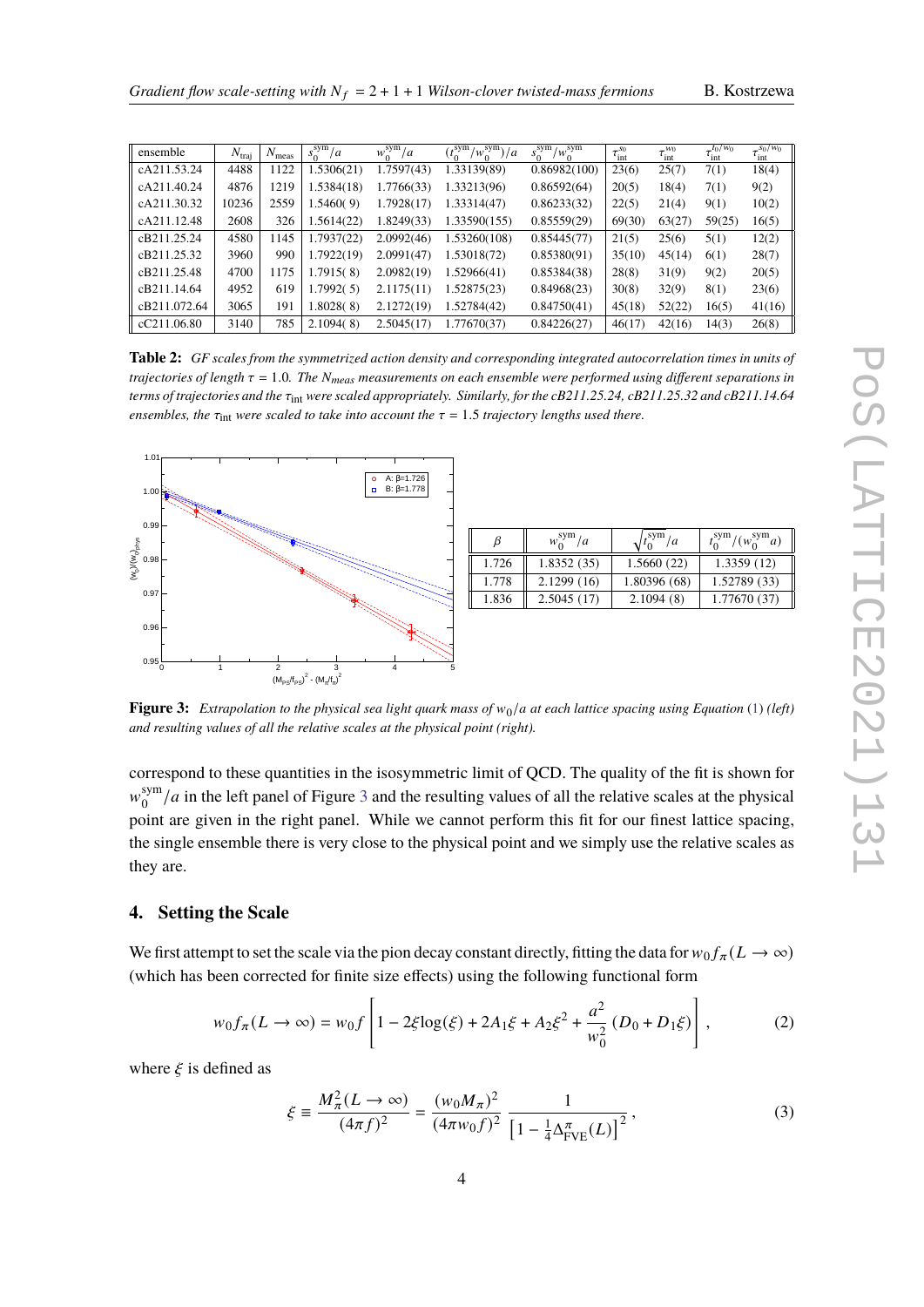|  |  | B. Kostrzewa |
|--|--|--------------|
|--|--|--------------|

<span id="page-3-0"></span>

| ensemble         | $N_{\text{trai}}$ | $N_{\text{meas}}$ | $s_0^{\rm sym}/a$ | $w_0^{\text{sym}}/a$ | $(t_0^{\text{sym}}/w_0^{\text{sym}})/a$ | $s_0^{\text{sym}}/w_0^{\text{sym}}$ | $\tau_{\rm int}^{s_0}$ | $\tau_{\rm int}^{w_0}$ | $\tau^{t_0/w_0}$<br>$\epsilon$ int | $\frac{s_0}{w_0}$<br>$\epsilon$ int |
|------------------|-------------------|-------------------|-------------------|----------------------|-----------------------------------------|-------------------------------------|------------------------|------------------------|------------------------------------|-------------------------------------|
| cA211.53.24      | 4488              | 1122              | 1.5306(21)        | 1.7597(43)           | 1.33139(89)                             | 0.86982(100)                        | 23(6)                  | 25(7)                  | 7(1)                               | 18(4)                               |
| cA211.40.24      | 4876              | 1219              | 1.5384(18)        | 1.7766(33)           | 1.33213(96)                             | 0.86592(64)                         | 20(5)                  | 18(4)                  | 7(1)                               | 9(2)                                |
| cA211.30.32      | 10236             | 2559              | 1.5460(9)         | 1.7928(17)           | 1.33314(47)                             | 0.86233(32)                         | 22(5)                  | 21(4)                  | 9(1)                               | 10(2)                               |
| cA211.12.48      | 2608              | 326               | 1.5614(22)        | 1.8249(33)           | 1.33590(155)                            | 0.85559(29)                         | 69(30)                 | 63(27)                 | 59(25)                             | 16(5)                               |
| cB211.25.24      | 4580              | 1145              | 1.7937(22)        | 2.0992(46)           | 1.53260(108)                            | 0.85445(77)                         | 21(5)                  | 25(6)                  | 5(1)                               | 12(2)                               |
| cB211.25.32      | 3960              | 990               | 1.7922(19)        | 2.0991(47)           | 1.53018(72)                             | 0.85380(91)                         | 35(10)                 | 45(14)                 | 6(1)                               | 28(7)                               |
| cB211.25.48      | 4700              | 1175              | 1.7915(8)         | 2.0982(19)           | 1.52966(41)                             | 0.85384(38)                         | 28(8)                  | 31(9)                  | 9(2)                               | 20(5)                               |
| cB211.14.64      | 4952              | 619               | 1.7992(5)         | 2.1175(11)           | 1.52875(23)                             | 0.84968(23)                         | 30(8)                  | 32(9)                  | 8(1)                               | 23(6)                               |
| cB211.072.64     | 3065              | 191               | 1.8028(8)         | 2.1272(19)           | 1.52784(42)                             | 0.84750(41)                         | 45(18)                 | 52(22)                 | 16(5)                              | 41(16)                              |
| $\ $ cC211.06.80 | 3140              | 785               | 2.1094(8)         | 2.5045(17)           | 1.77670(37)                             | 0.84226(27)                         | 46(17)                 | 42(16)                 | 14(3)                              | 26(8)                               |

**Table 2:** *GF scales from the symmetrized action density and corresponding integrated autocorrelation times in units of trajectories of length*  $\tau = 1.0$ *. The N<sub>meas</sub> measurements on each ensemble were performed using different separations in terms of trajectories and the*  $\tau_{int}$  *were scaled appropriately. Similarly, for the cB211.25.24, cB211.25.32 and cB211.14.64 ensembles, the*  $\tau_{int}$  *were scaled to take into account the*  $\tau = 1.5$  *trajectory lengths used there.* 

<span id="page-3-1"></span>

| β     | $w_0^{\text{sym}}/a$ | $\sqrt{2}$ sym $\sqrt{a}$ | $t_0^{\text{sym}}/(w_0^{\text{sym}}a)$ |
|-------|----------------------|---------------------------|----------------------------------------|
| 1.726 | 1.8352(35)           | 1.5660(22)                | 1.3359(12)                             |
| 1.778 | 2.1299(16)           | 1.80396 (68)              | 1.52789 (33)                           |
| 1.836 | 2.5045(17)           | 2.1094(8)                 | 1.77670 (37)                           |
|       |                      |                           |                                        |

**Figure 3:** *Extrapolation to the physical sea light quark mass of*  $w_0/a$  *at each lattice spacing using Equation* [\(1\)](#page-2-2) *(left) and resulting values of all the relative scales at the physical point (right).*

correspond to these quantities in the isosymmetric limit of QCD. The quality of the fit is shown for  $w_{\alpha}^{\text{sym}}$  $_{0}^{\text{sym}}/a$  in the left panel of Figure [3](#page-3-1) and the resulting values of all the relative scales at the physical point are given in the right panel. While we cannot perform this fit for our finest lattice spacing, the single ensemble there is very close to the physical point and we simply use the relative scales as they are.

# **4. Setting the Scale**

We first attempt to set the scale via the pion decay constant directly, fitting the data for  $w_0 f_\pi (L \to \infty)$ (which has been corrected for finite size effects) using the following functional form

<span id="page-3-2"></span>
$$
w_0 f_\pi(L \to \infty) = w_0 f \left[ 1 - 2\xi \log(\xi) + 2A_1 \xi + A_2 \xi^2 + \frac{a^2}{w_0^2} (D_0 + D_1 \xi) \right],
$$
 (2)

where  $\xi$  is defined as

$$
\xi \equiv \frac{M_{\pi}^2 (L \to \infty)}{(4\pi f)^2} = \frac{(w_0 M_{\pi})^2}{(4\pi w_0 f)^2} \frac{1}{\left[1 - \frac{1}{4} \Delta_{\text{FVE}}^{\pi}(L)\right]^2},\tag{3}
$$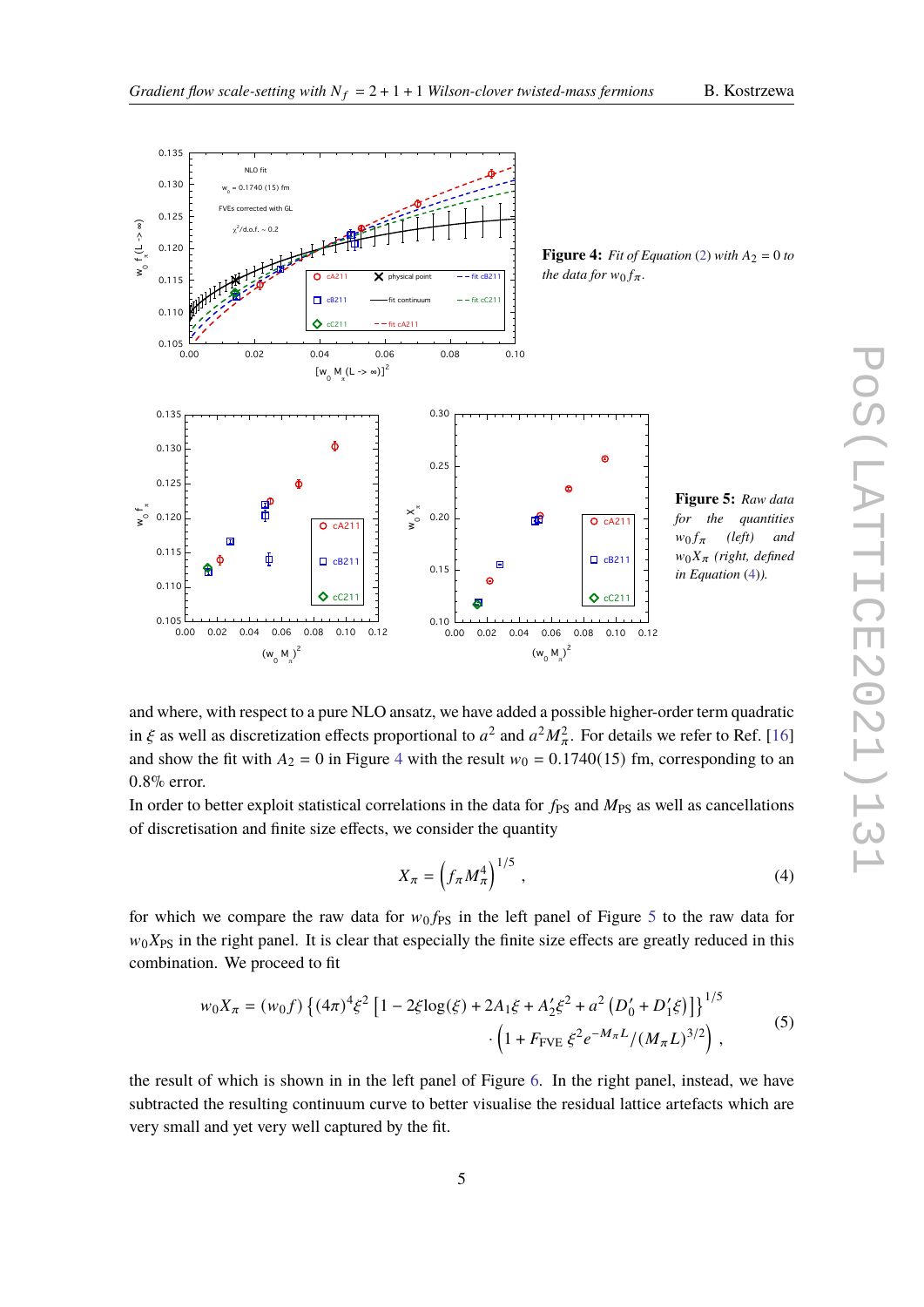

<span id="page-4-2"></span><span id="page-4-1"></span>

and where, with respect to a pure NLO ansatz, we have added a possible higher-order term quadratic in  $\xi$  as well as discretization effects proportional to  $a^2$  and  $a^2 M_{\pi}^2$ . For details we refer to Ref. [\[16\]](#page-8-6) and show the fit with  $A_2 = 0$  in Figure [4](#page-4-1) with the result  $w_0 = 0.1740(15)$  fm, corresponding to an 0.8% error.

In order to better exploit statistical correlations in the data for  $f_{PS}$  and  $M_{PS}$  as well as cancellations of discretisation and finite size effects, we consider the quantity

<span id="page-4-0"></span>
$$
X_{\pi} = \left(f_{\pi} M_{\pi}^4\right)^{1/5},\tag{4}
$$

for which we compare the raw data for  $w_0 f_{PS}$  in the left panel of Figure [5](#page-4-2) to the raw data for  $w_0X_{PS}$  in the right panel. It is clear that especially the finite size effects are greatly reduced in this combination. We proceed to fit

$$
w_0 X_{\pi} = (w_0 f) \left\{ (4\pi)^4 \xi^2 \left[ 1 - 2\xi \log(\xi) + 2A_1 \xi + A_2' \xi^2 + a^2 \left( D_0' + D_1' \xi \right) \right] \right\}^{1/5}
$$
  
 
$$
\cdot \left( 1 + F_{\text{FVE}} \xi^2 e^{-M_{\pi}L} / (M_{\pi} L)^{3/2} \right), \tag{5}
$$

<span id="page-4-3"></span>the result of which is shown in in the left panel of Figure [6.](#page-5-0) In the right panel, instead, we have subtracted the resulting continuum curve to better visualise the residual lattice artefacts which are very small and yet very well captured by the fit.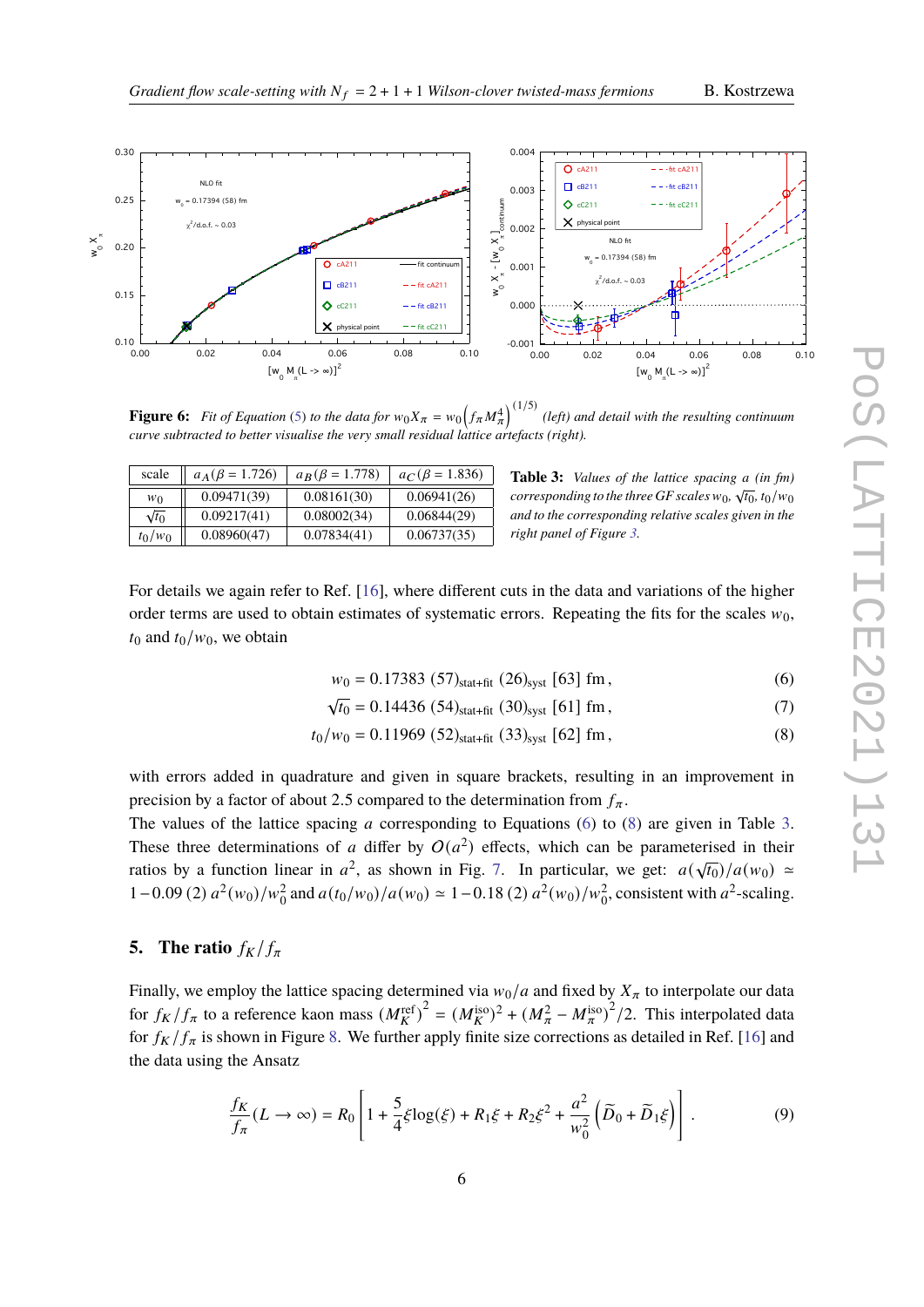

<span id="page-5-0"></span>

**Figure 6:** Fit of Equation [\(5\)](#page-4-3) to the data for  $w_0X_\pi = w_0\left(\frac{f_\pi M_\pi^4}{\pi}\right)^{(1/5)}$  (left) and detail with the resulting continuum *curve subtracted to better visualise the very small residual lattice artefacts (right).*

<span id="page-5-3"></span>

| scale        | $a_A(\beta = 1.726)$ | $a_B(\beta = 1.778)$ | $a_C(\beta = 1.836)$ |
|--------------|----------------------|----------------------|----------------------|
| $w_0$        | 0.09471(39)          | 0.08161(30)          | 0.06941(26)          |
| $\sqrt{t_0}$ | 0.09217(41)          | 0.08002(34)          | 0.06844(29)          |
| $t_0/w_0$    | 0.08960(47)          | 0.07834(41)          | 0.06737(35)          |

<span id="page-5-2"></span><span id="page-5-1"></span>**Table 3:** *Values of the lattice spacing a (in fm)* **corresponding to the three GF scales**  $w_0$ ,  $\sqrt{t_0}$ ,  $t_0/w_0$ *and to the corresponding relative scales given in the right panel of Figure [3.](#page-3-1)*

For details we again refer to Ref. [\[16\]](#page-8-6), where different cuts in the data and variations of the higher order terms are used to obtain estimates of systematic errors. Repeating the fits for the scales  $w_0$ ,  $t_0$  and  $t_0/w_0$ , we obtain

$$
w_0 = 0.17383 (57)_{\text{stat+fit}} (26)_{\text{syst}} [63] \text{ fm}, \qquad (6)
$$

$$
\sqrt{t_0} = 0.14436 (54)_{\text{stat-fit}} (30)_{\text{syst}} [61] \text{ fm}, \tag{7}
$$

$$
t_0/w_0 = 0.11969 (52)_{\text{stat+fit}} (33)_{\text{syst}} [62] \text{ fm}, \qquad (8)
$$

with errors added in quadrature and given in square brackets, resulting in an improvement in precision by a factor of about 2.5 compared to the determination from  $f_{\pi}$ .

The values of the lattice spacing a corresponding to Equations [\(6\)](#page-5-1) to [\(8\)](#page-5-2) are given in Table [3.](#page-5-3) These three determinations of a differ by  $O(a^2)$  effects, which can be parameterised in their ratios by a function linear in  $a^2$ , as shown in Fig. [7.](#page-6-0) In particular, we get:  $a(\sqrt{t_0})/a(w_0) \approx$ 1 – 0.09 (2)  $a^2(w_0)/w_0^2$  and  $a(t_0/w_0)/a(w_0) \approx 1 - 0.18$  (2)  $a^2(w_0)/w_0^2$ , consistent with  $a^2$ -scaling.

# **5.** The ratio  $f_K/f_\pi$

Finally, we employ the lattice spacing determined via  $w_0/a$  and fixed by  $X_\pi$  to interpolate our data for  $f_K/f_\pi$  to a reference kaon mass  $(M_K^{\text{ref}})^2 = (M_K^{\text{iso}})^2 + (M_\pi^2 - M_\pi^{\text{iso}})^2/2$ . This interpolated data for  $f_K/f_\pi$  is shown in Figure [8.](#page-6-1) We further apply finite size corrections as detailed in Ref. [\[16\]](#page-8-6) and the data using the Ansatz

<span id="page-5-4"></span>
$$
\frac{f_K}{f_\pi}(L \to \infty) = R_0 \left[ 1 + \frac{5}{4} \xi \log(\xi) + R_1 \xi + R_2 \xi^2 + \frac{a^2}{w_0^2} \left( \widetilde{D}_0 + \widetilde{D}_1 \xi \right) \right].
$$
\n(9)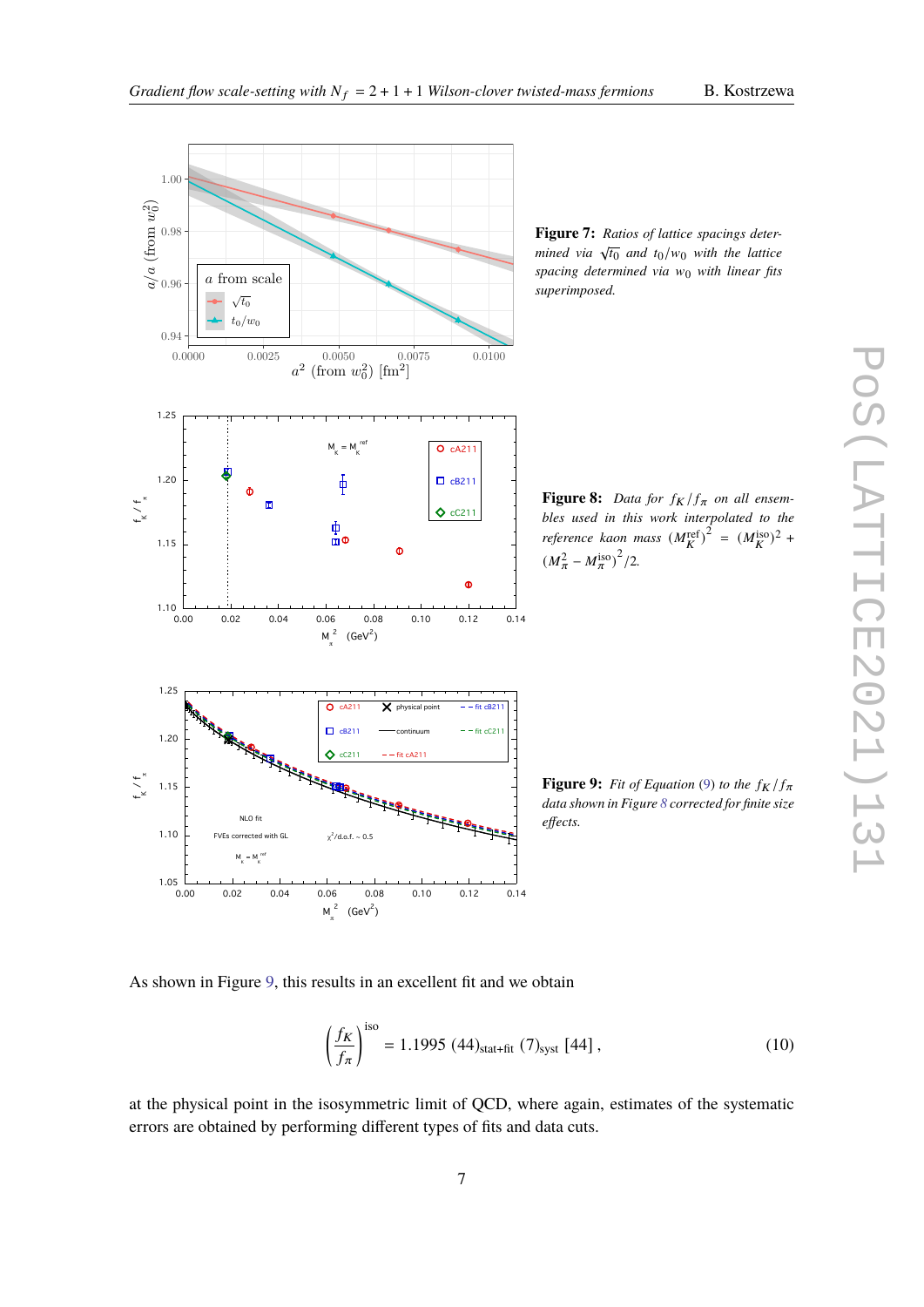<span id="page-6-1"></span><span id="page-6-0"></span>

**Figure 7:** *Ratios of lattice spacings determined via*  $\sqrt{t_0}$  *and*  $t_0/w_0$  *with the lattice spacing determined via*  $w_0$  *with linear fits superimposed.*

**Figure 8:** Data for  $f_K/f_{\pi}$  on all ensem*bles used in this work interpolated to the reference kaon mass*  $(M_K^{\text{ref}})^2 = (M_K^{\text{iso}})^2 +$  $(M_{\pi}^2 - M_{\pi}^{\text{iso}})^2/2.$ 

**Figure 9:** *Fit of Equation* [\(9\)](#page-5-4) *to the*  $f_K/f_{\pi}$ *data shown in Figure [8](#page-6-1) corrected for finite size effects.*

<span id="page-6-2"></span>As shown in Figure [9,](#page-6-2) this results in an excellent fit and we obtain

$$
\left(\frac{f_K}{f_\pi}\right)^{\text{iso}} = 1.1995 \ (44)_{\text{stat+fit}} \ (7)_{\text{syst}} \ [44],\tag{10}
$$

at the physical point in the isosymmetric limit of QCD, where again, estimates of the systematic errors are obtained by performing different types of fits and data cuts.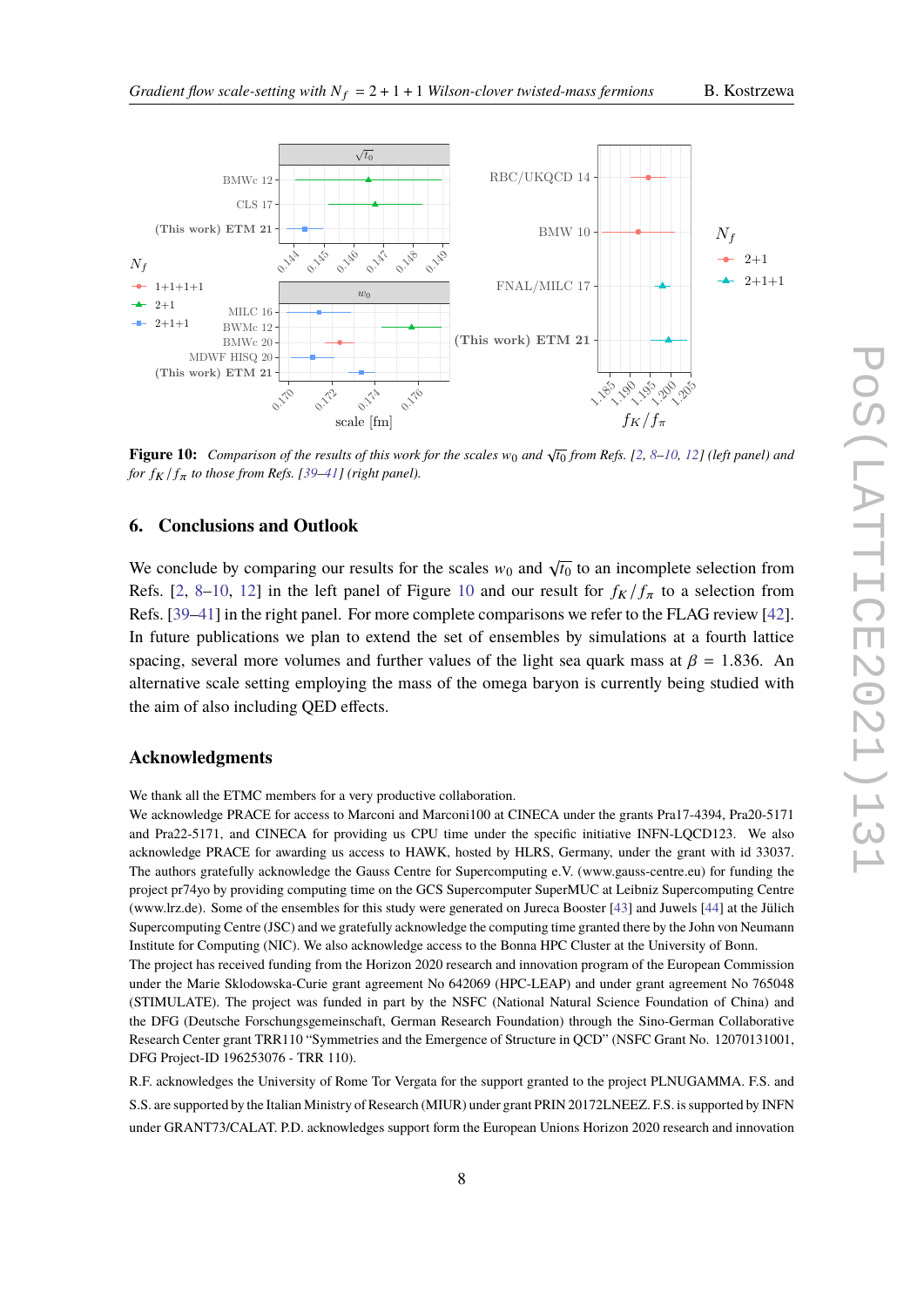

<span id="page-7-0"></span>

**Figure 10:** Comparison of the results of this work for the scales  $w_0$  and  $\sqrt{t_0}$  from Refs. [\[2,](#page-8-1) [8](#page-8-13)[–10,](#page-8-14) [12\]](#page-8-3) (left panel) and *for*  $f_K/f_\pi$  *to those from Refs.* [\[39–](#page-9-9)[41\]](#page-9-10) (right panel).

# **6. Conclusions and Outlook**

We conclude by comparing our results for the scales  $w_0$  and  $\sqrt{t_0}$  to an incomplete selection from Refs. [\[2,](#page-8-1) [8](#page-8-13)[–10,](#page-8-14) [12\]](#page-8-3) in the left panel of Figure [10](#page-7-0) and our result for  $f_K/f_\pi$  to a selection from Refs. [\[39](#page-9-9)[–41\]](#page-9-10) in the right panel. For more complete comparisons we refer to the FLAG review [\[42\]](#page-9-11). In future publications we plan to extend the set of ensembles by simulations at a fourth lattice spacing, several more volumes and further values of the light sea quark mass at  $\beta = 1.836$ . An alternative scale setting employing the mass of the omega baryon is currently being studied with the aim of also including QED effects.

## **Acknowledgments**

We thank all the ETMC members for a very productive collaboration.

We acknowledge PRACE for access to Marconi and Marconi100 at CINECA under the grants Pra17-4394, Pra20-5171 and Pra22-5171, and CINECA for providing us CPU time under the specific initiative INFN-LQCD123. We also acknowledge PRACE for awarding us access to HAWK, hosted by HLRS, Germany, under the grant with id 33037. The authors gratefully acknowledge the Gauss Centre for Supercomputing e.V. (www.gauss-centre.eu) for funding the project pr74yo by providing computing time on the GCS Supercomputer SuperMUC at Leibniz Supercomputing Centre (www.lrz.de). Some of the ensembles for this study were generated on Jureca Booster [\[43\]](#page-9-12) and Juwels [\[44\]](#page-9-13) at the Jülich Supercomputing Centre (JSC) and we gratefully acknowledge the computing time granted there by the John von Neumann Institute for Computing (NIC). We also acknowledge access to the Bonna HPC Cluster at the University of Bonn.

The project has received funding from the Horizon 2020 research and innovation program of the European Commission under the Marie Sklodowska-Curie grant agreement No 642069 (HPC-LEAP) and under grant agreement No 765048 (STIMULATE). The project was funded in part by the NSFC (National Natural Science Foundation of China) and the DFG (Deutsche Forschungsgemeinschaft, German Research Foundation) through the Sino-German Collaborative Research Center grant TRR110 "Symmetries and the Emergence of Structure in QCD" (NSFC Grant No. 12070131001, DFG Project-ID 196253076 - TRR 110).

R.F. acknowledges the University of Rome Tor Vergata for the support granted to the project PLNUGAMMA. F.S. and S.S. are supported by the Italian Ministry of Research (MIUR) under grant PRIN 20172LNEEZ. F.S. is supported by INFN under GRANT73/CALAT. P.D. acknowledges support form the European Unions Horizon 2020 research and innovation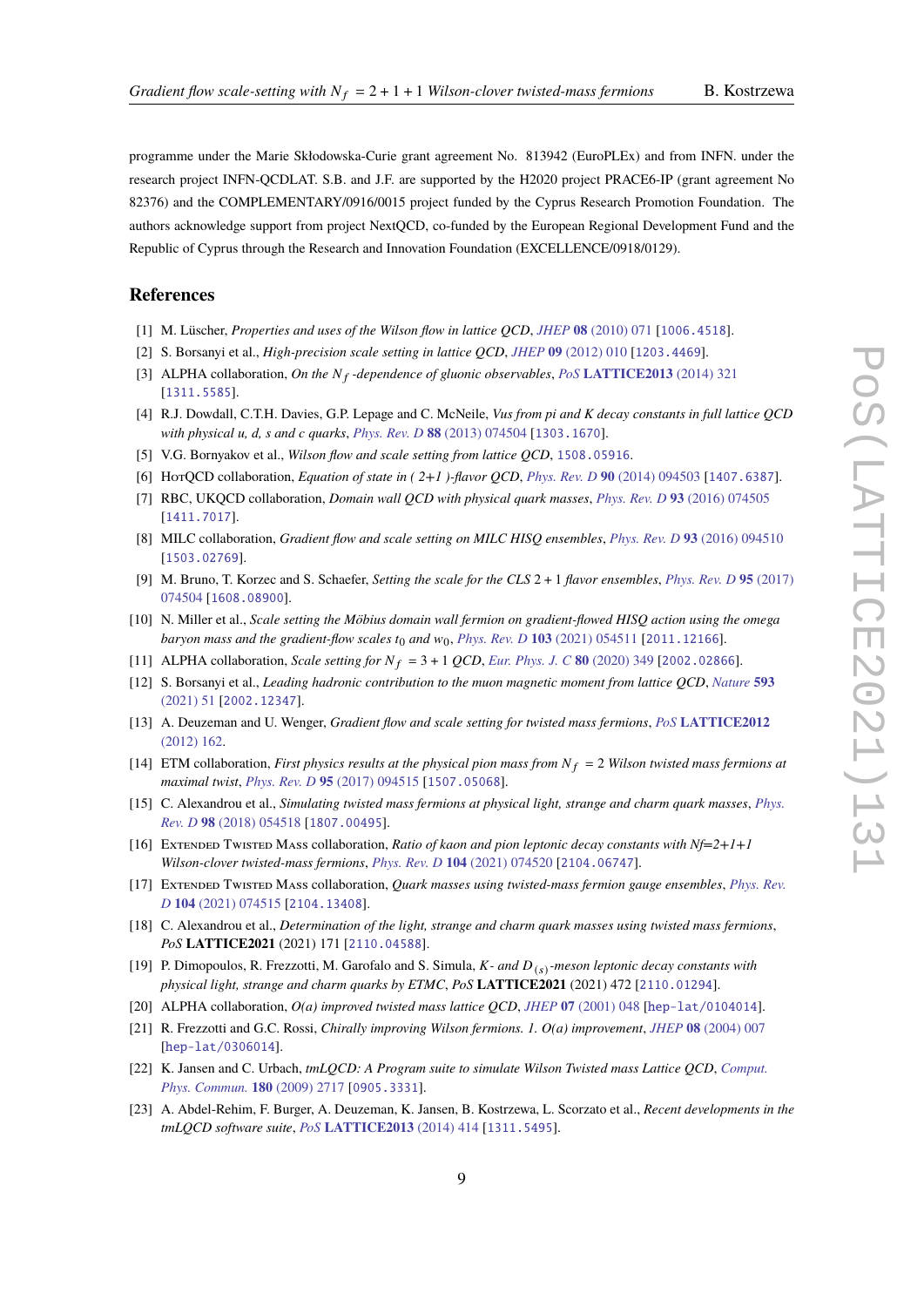programme under the Marie Skłodowska-Curie grant agreement No. 813942 (EuroPLEx) and from INFN. under the research project INFN-QCDLAT. S.B. and J.F. are supported by the H2020 project PRACE6-IP (grant agreement No 82376) and the COMPLEMENTARY/0916/0015 project funded by the Cyprus Research Promotion Foundation. The authors acknowledge support from project NextQCD, co-funded by the European Regional Development Fund and the Republic of Cyprus through the Research and Innovation Foundation (EXCELLENCE/0918/0129).

#### **References**

- <span id="page-8-0"></span>[1] M. Lüscher, *Properties and uses of the Wilson flow in lattice QCD*, *JHEP* **08** [\(2010\) 071](https://doi.org/10.1007/JHEP08(2010)071) [[1006.4518](https://arxiv.org/abs/1006.4518)].
- <span id="page-8-1"></span>[2] S. Borsanyi et al., *High-precision scale setting in lattice QCD*, *JHEP* **09** [\(2012\) 010](https://doi.org/10.1007/JHEP09(2012)010) [[1203.4469](https://arxiv.org/abs/1203.4469)].
- <span id="page-8-2"></span>[3] ALPHA collaboration, *On the N<sub>f</sub>* -dependence of gluonic observables, *PoS* [LATTICE2013](https://doi.org/10.22323/1.187.0321) (2014) 321 [[1311.5585](https://arxiv.org/abs/1311.5585)].
- [4] R.J. Dowdall, C.T.H. Davies, G.P. Lepage and C. McNeile, *Vus from pi and K decay constants in full lattice QCD with physical u, d, s and c quarks*, *[Phys. Rev. D](https://doi.org/10.1103/PhysRevD.88.074504)* **88** (2013) 074504 [[1303.1670](https://arxiv.org/abs/1303.1670)].
- [5] V.G. Bornyakov et al., *Wilson flow and scale setting from lattice QCD*, [1508.05916](https://arxiv.org/abs/1508.05916).
- [6] HotQCD collaboration, *Equation of state in ( 2+1 )-flavor QCD*, *[Phys. Rev. D](https://doi.org/10.1103/PhysRevD.90.094503)* **90** (2014) 094503 [[1407.6387](https://arxiv.org/abs/1407.6387)].
- [7] RBC, UKQCD collaboration, *Domain wall QCD with physical quark masses*, *[Phys. Rev. D](https://doi.org/10.1103/PhysRevD.93.074505)* **93** (2016) 074505 [[1411.7017](https://arxiv.org/abs/1411.7017)].
- <span id="page-8-13"></span>[8] MILC collaboration, *Gradient flow and scale setting on MILC HISQ ensembles*, *[Phys. Rev. D](https://doi.org/10.1103/PhysRevD.93.094510)* **93** (2016) 094510 [[1503.02769](https://arxiv.org/abs/1503.02769)].
- [9] M. Bruno, T. Korzec and S. Schaefer, *Setting the scale for the CLS* 2 + 1 *flavor ensembles*, *[Phys. Rev. D](https://doi.org/10.1103/PhysRevD.95.074504)* **95** (2017) [074504](https://doi.org/10.1103/PhysRevD.95.074504) [[1608.08900](https://arxiv.org/abs/1608.08900)].
- <span id="page-8-14"></span>[10] N. Miller et al., *Scale setting the Möbius domain wall fermion on gradient-flowed HISQ action using the omega baryon mass and the gradient-flow scales*  $t_0$  *and*  $w_0$ , *[Phys. Rev. D](https://doi.org/10.1103/PhysRevD.103.054511)* **103** (2021) 054511 [[2011.12166](https://arxiv.org/abs/2011.12166)].
- [11] ALPHA collaboration, *Scale setting for*  $N_f = 3 + 1$  *QCD*, *[Eur. Phys. J. C](https://doi.org/10.1140/epjc/s10052-020-7889-7)* **80** (2020) 349 [[2002.02866](https://arxiv.org/abs/2002.02866)].
- <span id="page-8-3"></span>[12] S. Borsanyi et al., *Leading hadronic contribution to the muon magnetic moment from lattice QCD*, *[Nature](https://doi.org/10.1038/s41586-021-03418-1)* **593** [\(2021\) 51](https://doi.org/10.1038/s41586-021-03418-1) [[2002.12347](https://arxiv.org/abs/2002.12347)].
- <span id="page-8-4"></span>[13] A. Deuzeman and U. Wenger, *Gradient flow and scale setting for twisted mass fermions*, *PoS* **[LATTICE2012](https://doi.org/10.22323/1.164.0162)** [\(2012\) 162.](https://doi.org/10.22323/1.164.0162)
- [14] ETM collaboration, *First physics results at the physical pion mass from*  $N_f = 2$  *Wilson twisted mass fermions at maximal twist*, *[Phys. Rev. D](https://doi.org/10.1103/PhysRevD.95.094515)* **95** (2017) 094515 [[1507.05068](https://arxiv.org/abs/1507.05068)].
- <span id="page-8-5"></span>[15] C. Alexandrou et al., *Simulating twisted mass fermions at physical light, strange and charm quark masses*, *[Phys.](https://doi.org/10.1103/PhysRevD.98.054518) Rev. D* **98** [\(2018\) 054518](https://doi.org/10.1103/PhysRevD.98.054518) [[1807.00495](https://arxiv.org/abs/1807.00495)].
- <span id="page-8-6"></span>[16] Extended Twisted Mass collaboration, *Ratio of kaon and pion leptonic decay constants with Nf=2+1+1 Wilson-clover twisted-mass fermions*, *[Phys. Rev. D](https://doi.org/10.1103/PhysRevD.104.074520)* **104** (2021) 074520 [[2104.06747](https://arxiv.org/abs/2104.06747)].
- <span id="page-8-7"></span>[17] Extended Twisted Mass collaboration, *Quark masses using twisted-mass fermion gauge ensembles*, *[Phys. Rev.](https://doi.org/10.1103/PhysRevD.104.074515) D* **104** [\(2021\) 074515](https://doi.org/10.1103/PhysRevD.104.074515) [[2104.13408](https://arxiv.org/abs/2104.13408)].
- <span id="page-8-8"></span>[18] C. Alexandrou et al., *Determination of the light, strange and charm quark masses using twisted mass fermions*, *PoS* **LATTICE2021** (2021) 171 [[2110.04588](https://arxiv.org/abs/2110.04588)].
- <span id="page-8-9"></span>[19] P. Dimopoulos, R. Frezzotti, M. Garofalo and S. Simula, *K*- and  $D_{(s)}$ -meson leptonic decay constants with *physical light, strange and charm quarks by ETMC*, *PoS* **LATTICE2021** (2021) 472 [[2110.01294](https://arxiv.org/abs/2110.01294)].
- <span id="page-8-10"></span>[20] ALPHA collaboration, *O(a) improved twisted mass lattice QCD*, *JHEP* **07** [\(2001\) 048](https://doi.org/10.1088/1126-6708/2001/07/048) [[hep-lat/0104014](https://arxiv.org/abs/hep-lat/0104014)].
- <span id="page-8-11"></span>[21] R. Frezzotti and G.C. Rossi, *Chirally improving Wilson fermions. 1. O(a) improvement*, *JHEP* **08** [\(2004\) 007](https://doi.org/10.1088/1126-6708/2004/08/007) [[hep-lat/0306014](https://arxiv.org/abs/hep-lat/0306014)].
- <span id="page-8-12"></span>[22] K. Jansen and C. Urbach, *tmLQCD: A Program suite to simulate Wilson Twisted mass Lattice QCD*, *[Comput.](https://doi.org/10.1016/j.cpc.2009.05.016) [Phys. Commun.](https://doi.org/10.1016/j.cpc.2009.05.016)* **180** (2009) 2717 [[0905.3331](https://arxiv.org/abs/0905.3331)].
- [23] A. Abdel-Rehim, F. Burger, A. Deuzeman, K. Jansen, B. Kostrzewa, L. Scorzato et al., *Recent developments in the tmLQCD software suite*, *PoS* **[LATTICE2013](https://doi.org/10.22323/1.187.0414)** (2014) 414 [[1311.5495](https://arxiv.org/abs/1311.5495)].